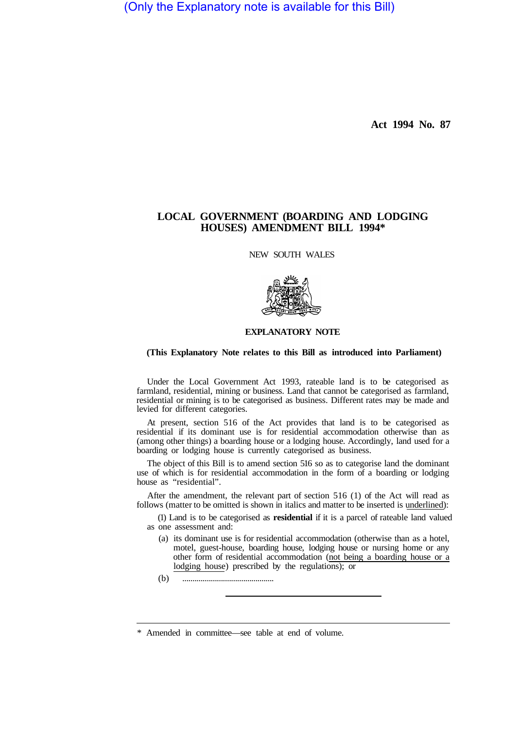(Only the Explanatory note is available for this Bill)

**Act 1994 No. 87** 

## **LOCAL GOVERNMENT (BOARDING AND LODGING HOUSES) AMENDMENT BILL 1994\***

NEW SOUTH WALES



## **EXPLANATORY NOTE**

## **(This Explanatory Note relates to this Bill as introduced into Parliament)**

Under the Local Government Act 1993, rateable land is to be categorised as farmland, residential, mining or business. Land that cannot be categorised as farmland, residential or mining is to be categorised as business. Different rates may be made and levied for different categories.

At present, section 516 of the Act provides that land is to be categorised as residential if its dominant use is for residential accommodation otherwise than as (among other things) a boarding house or a lodging house. Accordingly, land used for a boarding or lodging house is currently categorised as business.

The object of this Bill is to amend section 516 so as to categorise land the dominant use of which is for residential accommodation in the form of a boarding or lodging house as "residential".

After the amendment, the relevant part of section 516 (1) of the Act will read as follows (matter to be omitted is shown in italics and matter to be inserted is underlined):

(1) Land is to be categorised as **residential** if it is a parcel of rateable land valued as one assessment and:

- (a) its dominant use is for residential accommodation (otherwise than as a hotel, motel, guest-house, boarding house, lodging house or nursing home or any other form of residential accommodation (not being a boarding house or a lodging house) prescribed by the regulations); or
- (b) .............................................

Amended in committee—see table at end of volume.